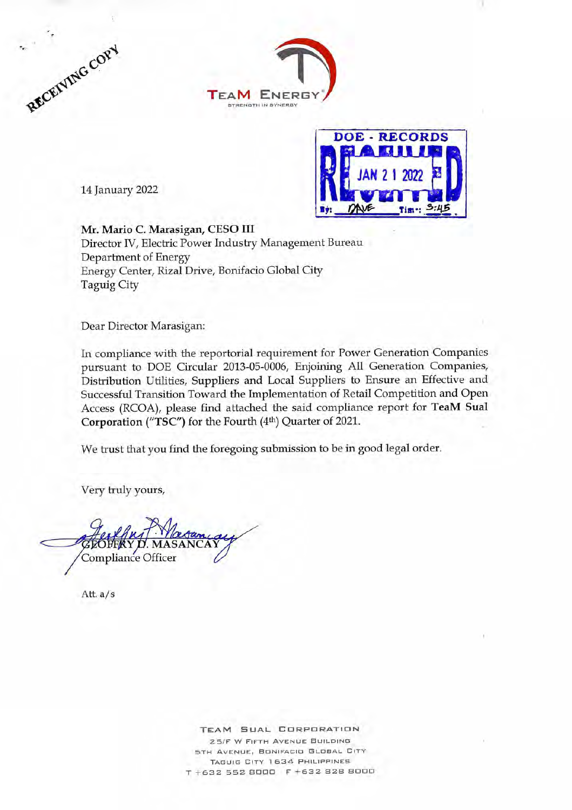



14 January 2022



Mr. Mario C. Marasigan, CESO III Director IV, Electric Power Industry Management Bureau Department of Energy Energy Center, Rizal Drive, Bonifacio Global City Taguig City

Dear Director Marasigan:

In compliance with the reportorial requirement for Power Generation Companies pursuant to DOE Circular 2013-05-0006, Enjoining All Generation Companies, Distribution Utilities, Suppliers and Local Suppliers to Ensure an Effective and Successful Transition Toward the Implementation of Retail Competition and Open Access (RCOA), please find attached the said compliance report for TeaM Sual Corporation ("TSC") for the Fourth (4th) Quarter of 2021.

We trust that you find the foregoing submission to be in good legal order.

Very truly yours,

Y D. MASANCAY Compliance Officer

Att. a/s

**TEAM SUAL CORPORATION** 25/F W FIFTH AVENUE BUILDING 5TH AVENUE, BONIFACIO GLOBAL CITY TAGUIG CITY 1634 PHILIPPINES T +632 552 8000 F +632 628 8000